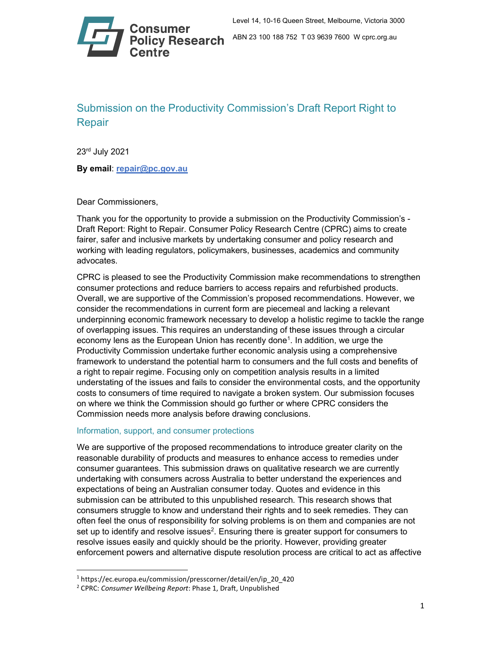

# Submission on the Productivity Commission's Draft Report Right to Repair

23rd July 2021

By email: repair@pc.gov.au

Dear Commissioners,

Thank you for the opportunity to provide a submission on the Productivity Commission's - Draft Report: Right to Repair. Consumer Policy Research Centre (CPRC) aims to create fairer, safer and inclusive markets by undertaking consumer and policy research and working with leading regulators, policymakers, businesses, academics and community advocates.

CPRC is pleased to see the Productivity Commission make recommendations to strengthen consumer protections and reduce barriers to access repairs and refurbished products. Overall, we are supportive of the Commission's proposed recommendations. However, we consider the recommendations in current form are piecemeal and lacking a relevant underpinning economic framework necessary to develop a holistic regime to tackle the range of overlapping issues. This requires an understanding of these issues through a circular economy lens as the European Union has recently done<sup>1</sup>. In addition, we urge the Productivity Commission undertake further economic analysis using a comprehensive framework to understand the potential harm to consumers and the full costs and benefits of a right to repair regime. Focusing only on competition analysis results in a limited understating of the issues and fails to consider the environmental costs, and the opportunity costs to consumers of time required to navigate a broken system. Our submission focuses on where we think the Commission should go further or where CPRC considers the Commission needs more analysis before drawing conclusions.

## Information, support, and consumer protections

We are supportive of the proposed recommendations to introduce greater clarity on the reasonable durability of products and measures to enhance access to remedies under consumer guarantees. This submission draws on qualitative research we are currently undertaking with consumers across Australia to better understand the experiences and expectations of being an Australian consumer today. Quotes and evidence in this submission can be attributed to this unpublished research. This research shows that consumers struggle to know and understand their rights and to seek remedies. They can often feel the onus of responsibility for solving problems is on them and companies are not set up to identify and resolve issues $^2$ . Ensuring there is greater support for consumers to resolve issues easily and quickly should be the priority. However, providing greater enforcement powers and alternative dispute resolution process are critical to act as affective

<sup>1</sup> https://ec.europa.eu/commission/presscorner/detail/en/ip\_20\_420

<sup>&</sup>lt;sup>2</sup> CPRC: Consumer Wellbeing Report: Phase 1, Draft, Unpublished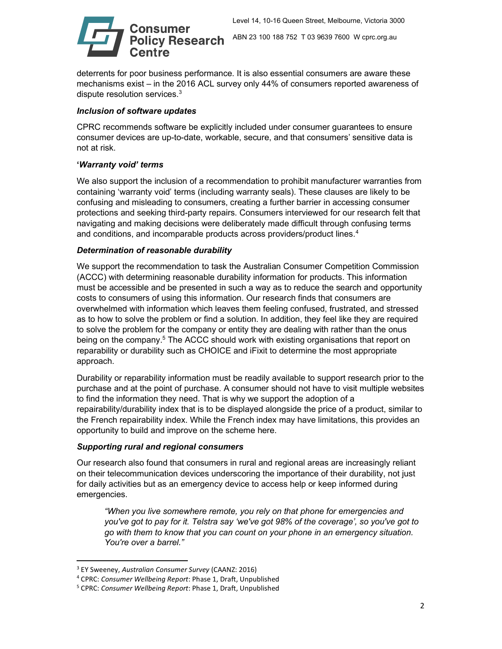

deterrents for poor business performance. It is also essential consumers are aware these mechanisms exist – in the 2016 ACL survey only 44% of consumers reported awareness of dispute resolution services.<sup>3</sup>

# Inclusion of software updates

CPRC recommends software be explicitly included under consumer guarantees to ensure consumer devices are up-to-date, workable, secure, and that consumers' sensitive data is not at risk.

# 'Warranty void' terms

We also support the inclusion of a recommendation to prohibit manufacturer warranties from containing 'warranty void' terms (including warranty seals). These clauses are likely to be confusing and misleading to consumers, creating a further barrier in accessing consumer protections and seeking third-party repairs. Consumers interviewed for our research felt that navigating and making decisions were deliberately made difficult through confusing terms and conditions, and incomparable products across providers/product lines.<sup>4</sup>

## Determination of reasonable durability

We support the recommendation to task the Australian Consumer Competition Commission (ACCC) with determining reasonable durability information for products. This information must be accessible and be presented in such a way as to reduce the search and opportunity costs to consumers of using this information. Our research finds that consumers are overwhelmed with information which leaves them feeling confused, frustrated, and stressed as to how to solve the problem or find a solution. In addition, they feel like they are required to solve the problem for the company or entity they are dealing with rather than the onus being on the company.<sup>5</sup> The ACCC should work with existing organisations that report on reparability or durability such as CHOICE and iFixit to determine the most appropriate approach.

Durability or reparability information must be readily available to support research prior to the purchase and at the point of purchase. A consumer should not have to visit multiple websites to find the information they need. That is why we support the adoption of a repairability/durability index that is to be displayed alongside the price of a product, similar to the French repairability index. While the French index may have limitations, this provides an opportunity to build and improve on the scheme here.

## Supporting rural and regional consumers

Our research also found that consumers in rural and regional areas are increasingly reliant on their telecommunication devices underscoring the importance of their durability, not just for daily activities but as an emergency device to access help or keep informed during emergencies.

"When you live somewhere remote, you rely on that phone for emergencies and you've got to pay for it. Telstra say 'we've got 98% of the coverage', so you've got to go with them to know that you can count on your phone in an emergency situation. You're over a barrel."

<sup>&</sup>lt;sup>3</sup> EY Sweeney, Australian Consumer Survey (CAANZ: 2016)

<sup>&</sup>lt;sup>4</sup> CPRC: Consumer Wellbeing Report: Phase 1, Draft, Unpublished

<sup>&</sup>lt;sup>5</sup> CPRC: Consumer Wellbeing Report: Phase 1, Draft, Unpublished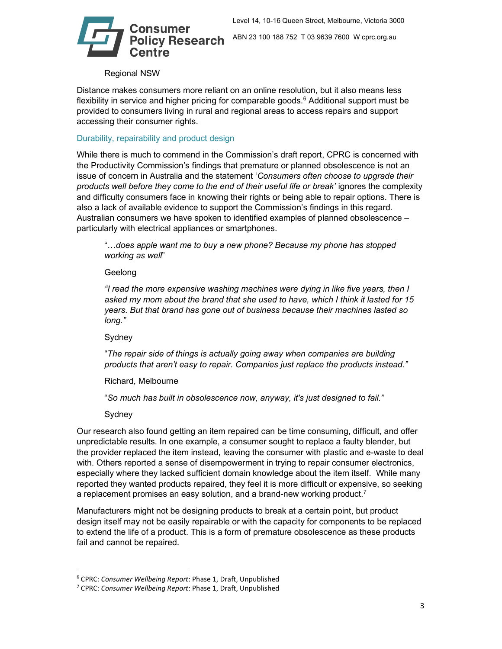

**Policy Research** ABN 23 100 188 752 T 03 9639 7600 W cprc.org.au

#### Regional NSW

Distance makes consumers more reliant on an online resolution, but it also means less flexibility in service and higher pricing for comparable goods.<sup>6</sup> Additional support must be provided to consumers living in rural and regional areas to access repairs and support accessing their consumer rights.

#### Durability, repairability and product design

While there is much to commend in the Commission's draft report, CPRC is concerned with the Productivity Commission's findings that premature or planned obsolescence is not an issue of concern in Australia and the statement 'Consumers often choose to upgrade their products well before they come to the end of their useful life or break' ignores the complexity and difficulty consumers face in knowing their rights or being able to repair options. There is also a lack of available evidence to support the Commission's findings in this regard. Australian consumers we have spoken to identified examples of planned obsolescence – particularly with electrical appliances or smartphones.

"…does apple want me to buy a new phone? Because my phone has stopped working as well"

#### Geelong

"I read the more expensive washing machines were dying in like five years, then I asked my mom about the brand that she used to have, which I think it lasted for 15 years. But that brand has gone out of business because their machines lasted so long."

Sydney

"The repair side of things is actually going away when companies are building products that aren't easy to repair. Companies just replace the products instead."

Richard, Melbourne

"So much has built in obsolescence now, anyway, it's just designed to fail."

Sydney

Our research also found getting an item repaired can be time consuming, difficult, and offer unpredictable results. In one example, a consumer sought to replace a faulty blender, but the provider replaced the item instead, leaving the consumer with plastic and e-waste to deal with. Others reported a sense of disempowerment in trying to repair consumer electronics, especially where they lacked sufficient domain knowledge about the item itself. While many reported they wanted products repaired, they feel it is more difficult or expensive, so seeking a replacement promises an easy solution, and a brand-new working product.<sup>7</sup>

Manufacturers might not be designing products to break at a certain point, but product design itself may not be easily repairable or with the capacity for components to be replaced to extend the life of a product. This is a form of premature obsolescence as these products fail and cannot be repaired.

<sup>&</sup>lt;sup>6</sup> CPRC: Consumer Wellbeing Report: Phase 1, Draft, Unpublished

<sup>&</sup>lt;sup>7</sup> CPRC: Consumer Wellbeing Report: Phase 1, Draft, Unpublished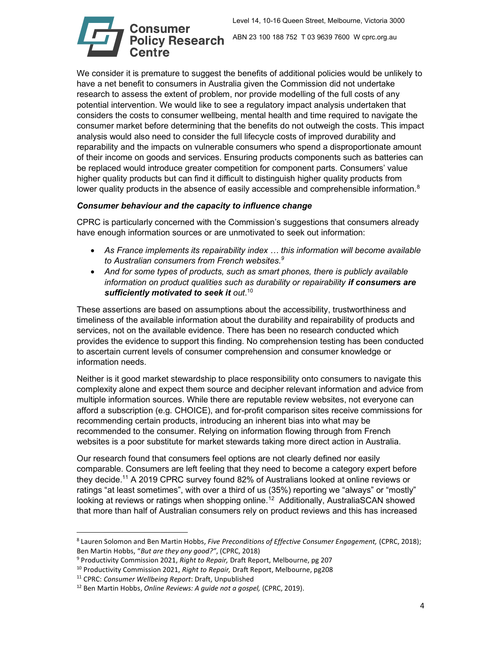

We consider it is premature to suggest the benefits of additional policies would be unlikely to have a net benefit to consumers in Australia given the Commission did not undertake research to assess the extent of problem, nor provide modelling of the full costs of any potential intervention. We would like to see a regulatory impact analysis undertaken that considers the costs to consumer wellbeing, mental health and time required to navigate the consumer market before determining that the benefits do not outweigh the costs. This impact analysis would also need to consider the full lifecycle costs of improved durability and reparability and the impacts on vulnerable consumers who spend a disproportionate amount of their income on goods and services. Ensuring products components such as batteries can be replaced would introduce greater competition for component parts. Consumers' value higher quality products but can find it difficult to distinguish higher quality products from lower quality products in the absence of easily accessible and comprehensible information.<sup>8</sup>

# Consumer behaviour and the capacity to influence change

CPRC is particularly concerned with the Commission's suggestions that consumers already have enough information sources or are unmotivated to seek out information:

- As France implements its repairability index … this information will become available to Australian consumers from French websites.<sup>9</sup>
- And for some types of products, such as smart phones, there is publicly available information on product qualities such as durability or repairability if consumers are sufficiently motivated to seek it out.<sup>10</sup>

These assertions are based on assumptions about the accessibility, trustworthiness and timeliness of the available information about the durability and repairability of products and services, not on the available evidence. There has been no research conducted which provides the evidence to support this finding. No comprehension testing has been conducted to ascertain current levels of consumer comprehension and consumer knowledge or information needs.

Neither is it good market stewardship to place responsibility onto consumers to navigate this complexity alone and expect them source and decipher relevant information and advice from multiple information sources. While there are reputable review websites, not everyone can afford a subscription (e.g. CHOICE), and for-profit comparison sites receive commissions for recommending certain products, introducing an inherent bias into what may be recommended to the consumer. Relying on information flowing through from French websites is a poor substitute for market stewards taking more direct action in Australia.

Our research found that consumers feel options are not clearly defined nor easily comparable. Consumers are left feeling that they need to become a category expert before they decide.<sup>11</sup> A 2019 CPRC survey found 82% of Australians looked at online reviews or ratings "at least sometimes", with over a third of us (35%) reporting we "always" or "mostly" looking at reviews or ratings when shopping online.<sup>12</sup> Additionally, AustraliaSCAN showed that more than half of Australian consumers rely on product reviews and this has increased

<sup>&</sup>lt;sup>8</sup> Lauren Solomon and Ben Martin Hobbs, Five Preconditions of Effective Consumer Engagement, (CPRC, 2018); Ben Martin Hobbs, "But are they any good?", (CPRC, 2018)

<sup>&</sup>lt;sup>9</sup> Productivity Commission 2021, Right to Repair, Draft Report, Melbourne, pg 207

 $10$  Productivity Commission 2021, Right to Repair, Draft Report, Melbourne, pg208

<sup>&</sup>lt;sup>11</sup> CPRC: Consumer Wellbeing Report: Draft, Unpublished

 $12$  Ben Martin Hobbs, Online Reviews: A guide not a gospel, (CPRC, 2019).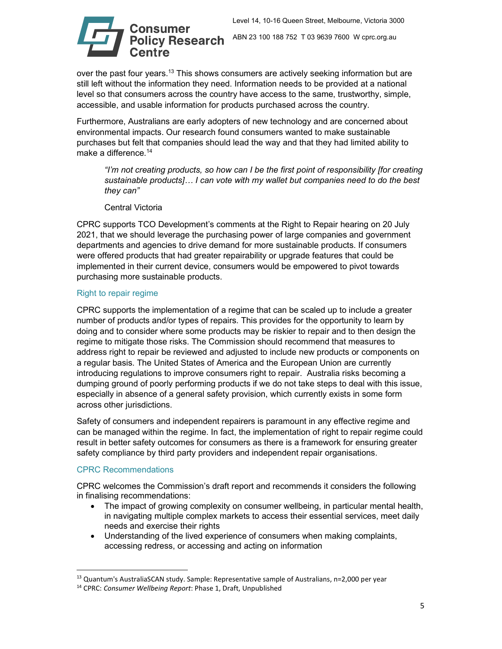

over the past four years.<sup>13</sup> This shows consumers are actively seeking information but are still left without the information they need. Information needs to be provided at a national level so that consumers across the country have access to the same, trustworthy, simple, accessible, and usable information for products purchased across the country.

Furthermore, Australians are early adopters of new technology and are concerned about environmental impacts. Our research found consumers wanted to make sustainable purchases but felt that companies should lead the way and that they had limited ability to make a difference.<sup>14</sup>

"I'm not creating products, so how can I be the first point of responsibility [for creating sustainable products]… I can vote with my wallet but companies need to do the best they can"

Central Victoria

CPRC supports TCO Development's comments at the Right to Repair hearing on 20 July 2021, that we should leverage the purchasing power of large companies and government departments and agencies to drive demand for more sustainable products. If consumers were offered products that had greater repairability or upgrade features that could be implemented in their current device, consumers would be empowered to pivot towards purchasing more sustainable products.

# Right to repair regime

CPRC supports the implementation of a regime that can be scaled up to include a greater number of products and/or types of repairs. This provides for the opportunity to learn by doing and to consider where some products may be riskier to repair and to then design the regime to mitigate those risks. The Commission should recommend that measures to address right to repair be reviewed and adjusted to include new products or components on a regular basis. The United States of America and the European Union are currently introducing regulations to improve consumers right to repair. Australia risks becoming a dumping ground of poorly performing products if we do not take steps to deal with this issue, especially in absence of a general safety provision, which currently exists in some form across other jurisdictions.

Safety of consumers and independent repairers is paramount in any effective regime and can be managed within the regime. In fact, the implementation of right to repair regime could result in better safety outcomes for consumers as there is a framework for ensuring greater safety compliance by third party providers and independent repair organisations.

## CPRC Recommendations

CPRC welcomes the Commission's draft report and recommends it considers the following in finalising recommendations:

- The impact of growing complexity on consumer wellbeing, in particular mental health, in navigating multiple complex markets to access their essential services, meet daily needs and exercise their rights
- Understanding of the lived experience of consumers when making complaints, accessing redress, or accessing and acting on information

<sup>&</sup>lt;sup>13</sup> Quantum's AustraliaSCAN study. Sample: Representative sample of Australians, n=2,000 per year

<sup>&</sup>lt;sup>14</sup> CPRC: Consumer Wellbeing Report: Phase 1, Draft, Unpublished